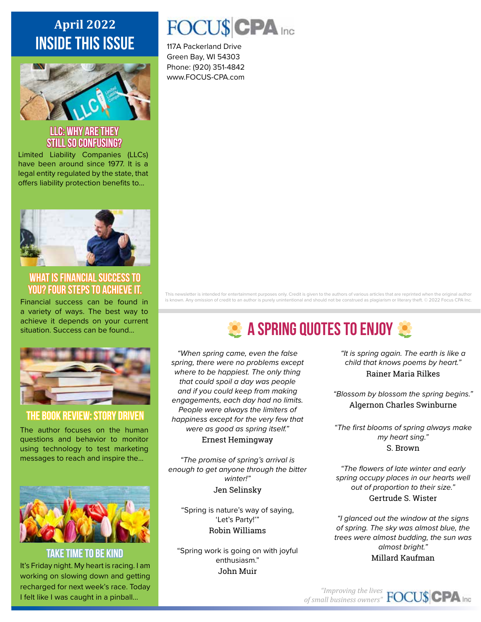### **April 2022 inside this issue**



## **LLC: Why are they still so confusing?**

Limited Liability Companies (LLCs) have been around since 1977. It is a legal entity regulated by the state, that offers liability protection benefits to...



**What is Financial Success to You? Four Steps to Achieve It.**

Financial success can be found in a variety of ways. The best way to achieve it depends on your current situation. Success can be found...



### **THE BOOK REVIEW: Story Driven**

The author focuses on the human questions and behavior to monitor using technology to test marketing messages to reach and inspire the...



**Take Time to Be Kind** It's Friday night. My heart is racing. I am working on slowing down and getting recharged for next week's race. Today I felt like I was caught in a pinball...

## FOCU\$CPA Inc

117A Packerland Drive Green Bay, WI 54303 Phone: (920) 351-4842 www.FOCUS-CPA.com

This newsletter is intended for entertainment purposes only. Credit is given to the authors of various articles that are reprinted when the original author is known. Any omission of credit to an author is purely unintentional and should not be construed as plagiarism or literary theft. © 2022 Focus CPA Inc.

# **2 A SPRING QUOTES TO ENJOY 32**

*"When spring came, even the false spring, there were no problems except where to be happiest. The only thing that could spoil a day was people and if you could keep from making engagements, each day had no limits. People were always the limiters of happiness except for the very few that were as good as spring itself."* Ernest Hemingway

*"The promise of spring's arrival is enough to get anyone through the bitter winter!"* Jen Selinsky

"Spring is nature's way of saying, 'Let's Party!'" Robin Williams

"Spring work is going on with joyful enthusiasm." John Muir

*"It is spring again. The earth is like a child that knows poems by heart."* Rainer Maria Rilkes

*"Blossom by blossom the spring begins."* Algernon Charles Swinburne

*"The first blooms of spring always make my heart sing."* S. Brown

*"The flowers of late winter and early spring occupy places in our hearts well out of proportion to their size."* Gertrude S. Wister

*"I glanced out the window at the signs of spring. The sky was almost blue, the trees were almost budding, the sun was almost bright."* Millard Kaufman

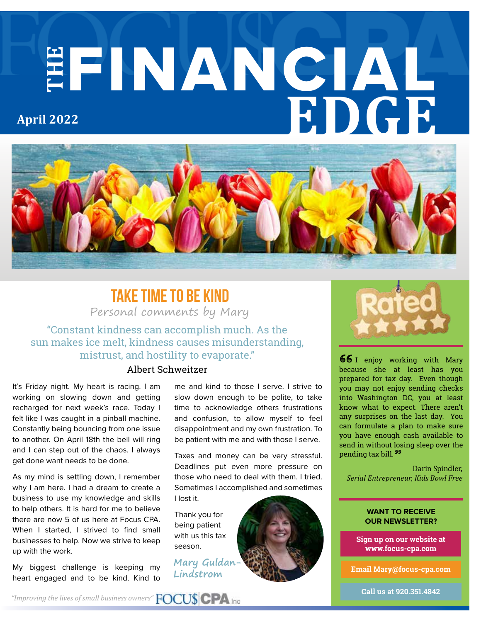# **THE** FINANCIAL **EDGE April 2022**



### **Take Time to be Kind**

Personal comments by Mary

"Constant kindness can accomplish much. As the sun makes ice melt, kindness causes misunderstanding, mistrust, and hostility to evaporate."

### Albert Schweitzer

It's Friday night. My heart is racing. I am working on slowing down and getting recharged for next week's race. Today I felt like I was caught in a pinball machine. Constantly being bouncing from one issue to another. On April 18th the bell will ring and I can step out of the chaos. I always get done want needs to be done.

As my mind is settling down, I remember why I am here. I had a dream to create a business to use my knowledge and skills to help others. It is hard for me to believe there are now 5 of us here at Focus CPA. When I started, I strived to find small businesses to help. Now we strive to keep up with the work.

My biggest challenge is keeping my heart engaged and to be kind. Kind to me and kind to those I serve. I strive to slow down enough to be polite, to take time to acknowledge others frustrations and confusion, to allow myself to feel disappointment and my own frustration. To be patient with me and with those I serve.

Taxes and money can be very stressful. Deadlines put even more pressure on those who need to deal with them. I tried. Sometimes I accomplished and sometimes I lost it.

Thank you for being patient with us this tax season.

**Mary Guldan-Lindstrom**



 $66I$  enjoy working with Mary because she at least has you prepared for tax day. Even though you may not enjoy sending checks into Washington DC, you at least know what to expect. There aren't any surprises on the last day. You can formulate a plan to make sure you have enough cash available to send in without losing sleep over the pending tax bill. 99

Darin Spindler, *Serial Entrepreneur, Kids Bowl Free*

#### **WANT TO RECEIVE OUR NEWSLETTER?**

**Sign up on our website at www.focus-cpa.com**

**Email Mary@focus-cpa.com**

*"Improving the lives of small business owners"*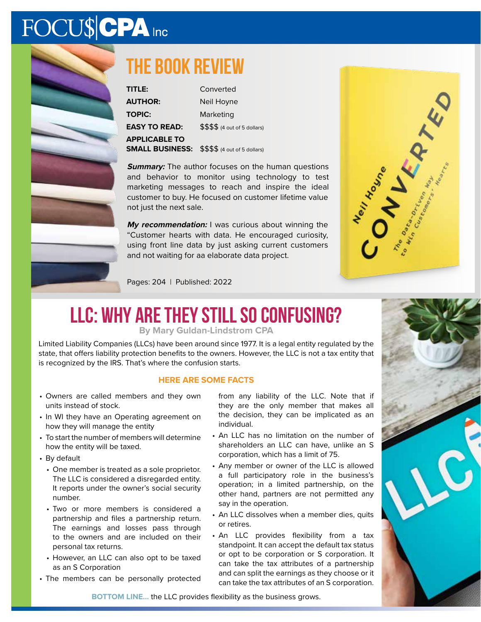# FOCU\$CPA Inc



### **The book review**

| TITLE:                 | Converted                     |
|------------------------|-------------------------------|
| <b>AUTHOR:</b>         | Neil Hoyne                    |
| <b>TOPIC:</b>          | Marketing                     |
| <b>EASY TO READ:</b>   | \$\$\$\$ (4 out of 5 dollars) |
| <b>APPLICABLE TO</b>   |                               |
| <b>SMALL BUSINESS:</b> | \$\$\$\$ (4 out of 5 dollars) |

**Summary:** The author focuses on the human questions and behavior to monitor using technology to test marketing messages to reach and inspire the ideal customer to buy. He focused on customer lifetime value not just the next sale.

My recommendation: I was curious about winning the "Customer hearts with data. He encouraged curiosity, using front line data by just asking current customers and not waiting for aa elaborate data project.



Pages: 204 | Published: 2022

# **LLC: Why are they still so confusing?**

**By Mary Guldan-Lindstrom CPA**

Limited Liability Companies (LLCs) have been around since 1977. It is a legal entity regulated by the state, that offers liability protection benefits to the owners. However, the LLC is not a tax entity that is recognized by the IRS. That's where the confusion starts.

#### **HERE ARE SOME FACTS**

- Owners are called members and they own units instead of stock.
- In WI they have an Operating agreement on how they will manage the entity
- To start the number of members will determine how the entity will be taxed.
- By default
	- One member is treated as a sole proprietor. The LLC is considered a disregarded entity. It reports under the owner's social security number.
	- Two or more members is considered a partnership and files a partnership return. The earnings and losses pass through to the owners and are included on their personal tax returns.
	- However, an LLC can also opt to be taxed as an S Corporation
- The members can be personally protected

from any liability of the LLC. Note that if they are the only member that makes all the decision, they can be implicated as an individual.

- An LLC has no limitation on the number of shareholders an LLC can have, unlike an S corporation, which has a limit of 75.
- Any member or owner of the LLC is allowed a full participatory role in the business's operation; in a limited partnership, on the other hand, partners are not permitted any say in the operation.
- An LLC dissolves when a member dies, quits or retires.
- An LLC provides flexibility from a tax standpoint. It can accept the default tax status or opt to be corporation or S corporation. It can take the tax attributes of a partnership and can split the earnings as they choose or it can take the tax attributes of an S corporation.



**BOTTOM LINE...** the LLC provides flexibility as the business grows.